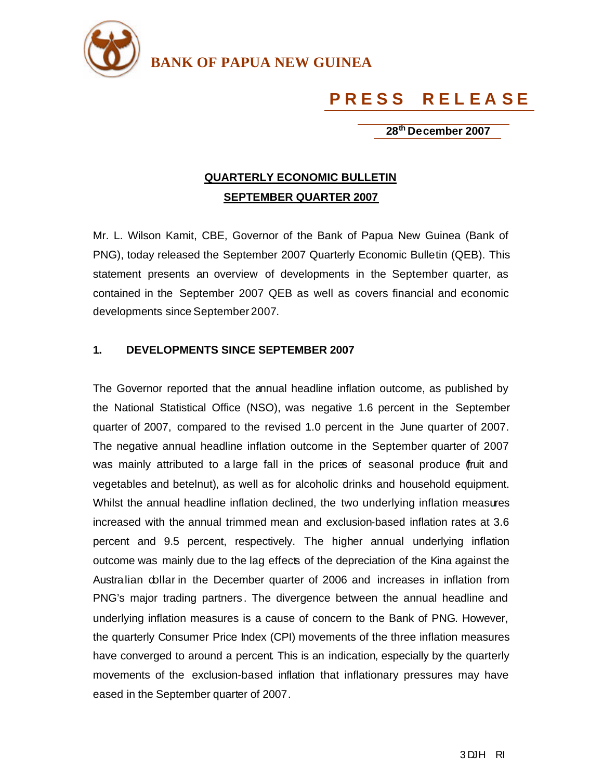

**BANK OF PAPUA NEW GUINEA**

## **P R E S S R E L E A S E**

 **28th December 2007** 

## **QUARTERLY ECONOMIC BULLETIN SEPTEMBER QUARTER 2007**

Mr. L. Wilson Kamit, CBE, Governor of the Bank of Papua New Guinea (Bank of PNG), today released the September 2007 Quarterly Economic Bulletin (QEB). This statement presents an overview of developments in the September quarter, as contained in the September 2007 QEB as well as covers financial and economic developments since September 2007.

## **1. DEVELOPMENTS SINCE SEPTEMBER 2007**

The Governor reported that the annual headline inflation outcome, as published by the National Statistical Office (NSO), was negative 1.6 percent in the September quarter of 2007, compared to the revised 1.0 percent in the June quarter of 2007. The negative annual headline inflation outcome in the September quarter of 2007 was mainly attributed to a large fall in the prices of seasonal produce fruit and vegetables and betelnut), as well as for alcoholic drinks and household equipment. Whilst the annual headline inflation declined, the two underlying inflation measures increased with the annual trimmed mean and exclusion-based inflation rates at 3.6 percent and 9.5 percent, respectively. The higher annual underlying inflation outcome was mainly due to the lag effects of the depreciation of the Kina against the Australian dollar in the December quarter of 2006 and increases in inflation from PNG's major trading partners . The divergence between the annual headline and underlying inflation measures is a cause of concern to the Bank of PNG. However, the quarterly Consumer Price Index (CPI) movements of the three inflation measures have converged to around a percent. This is an indication, especially by the quarterly movements of the exclusion-based inflation that inflationary pressures may have eased in the September quarter of 2007.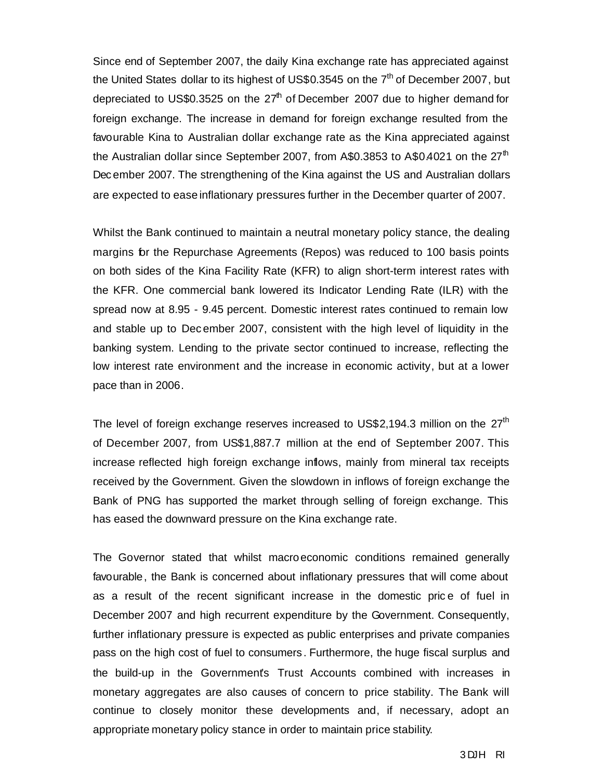Since end of September 2007, the daily Kina exchange rate has appreciated against the United States dollar to its highest of US\$0.3545 on the  $7<sup>th</sup>$  of December 2007, but depreciated to US\$0.3525 on the  $27<sup>th</sup>$  of December 2007 due to higher demand for foreign exchange. The increase in demand for foreign exchange resulted from the favourable Kina to Australian dollar exchange rate as the Kina appreciated against the Australian dollar since September 2007, from A\$0.3853 to A\$0.4021 on the 27<sup>th</sup> Dec ember 2007. The strengthening of the Kina against the US and Australian dollars are expected to ease inflationary pressures further in the December quarter of 2007.

Whilst the Bank continued to maintain a neutral monetary policy stance, the dealing margins for the Repurchase Agreements (Repos) was reduced to 100 basis points on both sides of the Kina Facility Rate (KFR) to align short-term interest rates with the KFR. One commercial bank lowered its Indicator Lending Rate (ILR) with the spread now at 8.95 - 9.45 percent. Domestic interest rates continued to remain low and stable up to Dec ember 2007, consistent with the high level of liquidity in the banking system. Lending to the private sector continued to increase, reflecting the low interest rate environment and the increase in economic activity, but at a lower pace than in 2006.

The level of foreign exchange reserves increased to US\$2,194.3 million on the  $27<sup>th</sup>$ of December 2007*,* from US\$1,887.7 million at the end of September 2007. This increase reflected high foreign exchange inflows, mainly from mineral tax receipts received by the Government. Given the slowdown in inflows of foreign exchange the Bank of PNG has supported the market through selling of foreign exchange. This has eased the downward pressure on the Kina exchange rate.

The Governor stated that whilst macroeconomic conditions remained generally favourable, the Bank is concerned about inflationary pressures that will come about as a result of the recent significant increase in the domestic pric e of fuel in December 2007 and high recurrent expenditure by the Government. Consequently, further inflationary pressure is expected as public enterprises and private companies pass on the high cost of fuel to consumers . Furthermore, the huge fiscal surplus and the build-up in the Government's Trust Accounts combined with increases in monetary aggregates are also causes of concern to price stability. The Bank will continue to closely monitor these developments and, if necessary, adopt an appropriate monetary policy stance in order to maintain price stability.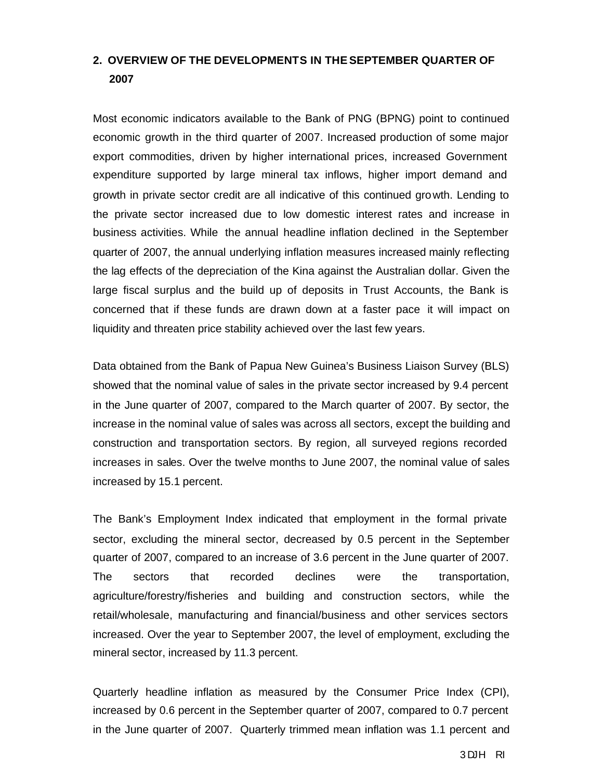## **2. OVERVIEW OF THE DEVELOPMENTS IN THE SEPTEMBER QUARTER OF 2007**

Most economic indicators available to the Bank of PNG (BPNG) point to continued economic growth in the third quarter of 2007. Increased production of some major export commodities, driven by higher international prices, increased Government expenditure supported by large mineral tax inflows, higher import demand and growth in private sector credit are all indicative of this continued growth. Lending to the private sector increased due to low domestic interest rates and increase in business activities. While the annual headline inflation declined in the September quarter of 2007, the annual underlying inflation measures increased mainly reflecting the lag effects of the depreciation of the Kina against the Australian dollar. Given the large fiscal surplus and the build up of deposits in Trust Accounts, the Bank is concerned that if these funds are drawn down at a faster pace it will impact on liquidity and threaten price stability achieved over the last few years.

Data obtained from the Bank of Papua New Guinea's Business Liaison Survey (BLS) showed that the nominal value of sales in the private sector increased by 9.4 percent in the June quarter of 2007, compared to the March quarter of 2007. By sector, the increase in the nominal value of sales was across all sectors, except the building and construction and transportation sectors. By region, all surveyed regions recorded increases in sales. Over the twelve months to June 2007, the nominal value of sales increased by 15.1 percent.

The Bank's Employment Index indicated that employment in the formal private sector, excluding the mineral sector, decreased by 0.5 percent in the September quarter of 2007, compared to an increase of 3.6 percent in the June quarter of 2007. The sectors that recorded declines were the transportation, agriculture/forestry/fisheries and building and construction sectors, while the retail/wholesale, manufacturing and financial/business and other services sectors increased. Over the year to September 2007, the level of employment, excluding the mineral sector, increased by 11.3 percent.

Quarterly headline inflation as measured by the Consumer Price Index (CPI), increased by 0.6 percent in the September quarter of 2007, compared to 0.7 percent in the June quarter of 2007. Quarterly trimmed mean inflation was 1.1 percent and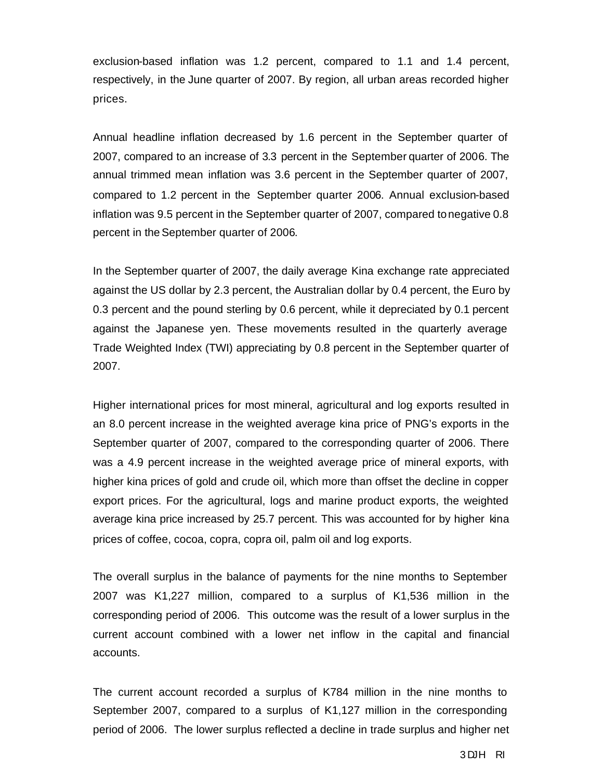exclusion-based inflation was 1.2 percent, compared to 1.1 and 1.4 percent, respectively, in the June quarter of 2007. By region, all urban areas recorded higher prices.

Annual headline inflation decreased by 1.6 percent in the September quarter of 2007, compared to an increase of 3.3 percent in the September quarter of 2006. The annual trimmed mean inflation was 3.6 percent in the September quarter of 2007, compared to 1.2 percent in the September quarter 2006. Annual exclusion-based inflation was 9.5 percent in the September quarter of 2007, compared to negative 0.8 percent in the September quarter of 2006.

In the September quarter of 2007, the daily average Kina exchange rate appreciated against the US dollar by 2.3 percent, the Australian dollar by 0.4 percent, the Euro by 0.3 percent and the pound sterling by 0.6 percent, while it depreciated by 0.1 percent against the Japanese yen. These movements resulted in the quarterly average Trade Weighted Index (TWI) appreciating by 0.8 percent in the September quarter of 2007.

Higher international prices for most mineral, agricultural and log exports resulted in an 8.0 percent increase in the weighted average kina price of PNG's exports in the September quarter of 2007, compared to the corresponding quarter of 2006. There was a 4.9 percent increase in the weighted average price of mineral exports, with higher kina prices of gold and crude oil, which more than offset the decline in copper export prices. For the agricultural, logs and marine product exports, the weighted average kina price increased by 25.7 percent. This was accounted for by higher kina prices of coffee, cocoa, copra, copra oil, palm oil and log exports.

The overall surplus in the balance of payments for the nine months to September 2007 was K1,227 million, compared to a surplus of K1,536 million in the corresponding period of 2006. This outcome was the result of a lower surplus in the current account combined with a lower net inflow in the capital and financial accounts.

The current account recorded a surplus of K784 million in the nine months to September 2007, compared to a surplus of K1,127 million in the corresponding period of 2006. The lower surplus reflected a decline in trade surplus and higher net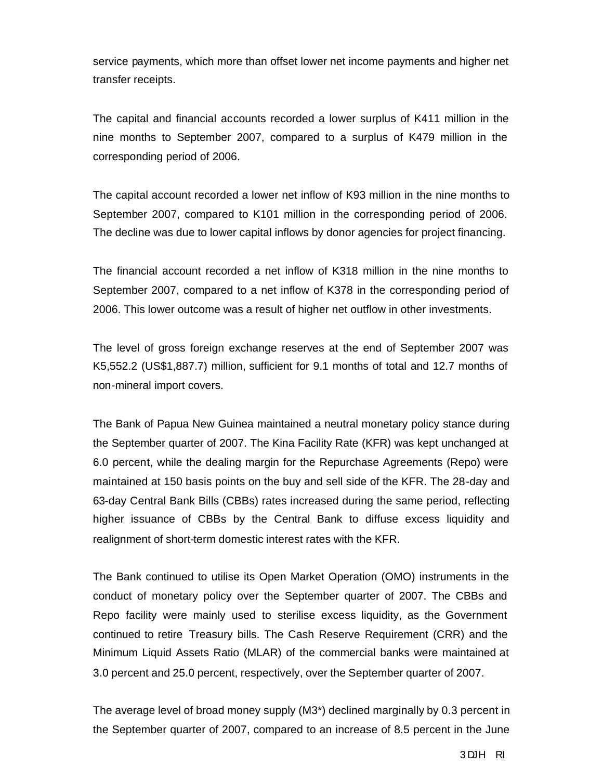service payments, which more than offset lower net income payments and higher net transfer receipts.

The capital and financial accounts recorded a lower surplus of K411 million in the nine months to September 2007, compared to a surplus of K479 million in the corresponding period of 2006.

The capital account recorded a lower net inflow of K93 million in the nine months to September 2007, compared to K101 million in the corresponding period of 2006. The decline was due to lower capital inflows by donor agencies for project financing.

The financial account recorded a net inflow of K318 million in the nine months to September 2007, compared to a net inflow of K378 in the corresponding period of 2006. This lower outcome was a result of higher net outflow in other investments.

The level of gross foreign exchange reserves at the end of September 2007 was K5,552.2 (US\$1,887.7) million, sufficient for 9.1 months of total and 12.7 months of non-mineral import covers.

The Bank of Papua New Guinea maintained a neutral monetary policy stance during the September quarter of 2007. The Kina Facility Rate (KFR) was kept unchanged at 6.0 percent, while the dealing margin for the Repurchase Agreements (Repo) were maintained at 150 basis points on the buy and sell side of the KFR. The 28-day and 63-day Central Bank Bills (CBBs) rates increased during the same period, reflecting higher issuance of CBBs by the Central Bank to diffuse excess liquidity and realignment of short-term domestic interest rates with the KFR.

The Bank continued to utilise its Open Market Operation (OMO) instruments in the conduct of monetary policy over the September quarter of 2007. The CBBs and Repo facility were mainly used to sterilise excess liquidity, as the Government continued to retire Treasury bills. The Cash Reserve Requirement (CRR) and the Minimum Liquid Assets Ratio (MLAR) of the commercial banks were maintained at 3.0 percent and 25.0 percent, respectively, over the September quarter of 2007.

The average level of broad money supply (M3\*) declined marginally by 0.3 percent in the September quarter of 2007, compared to an increase of 8.5 percent in the June